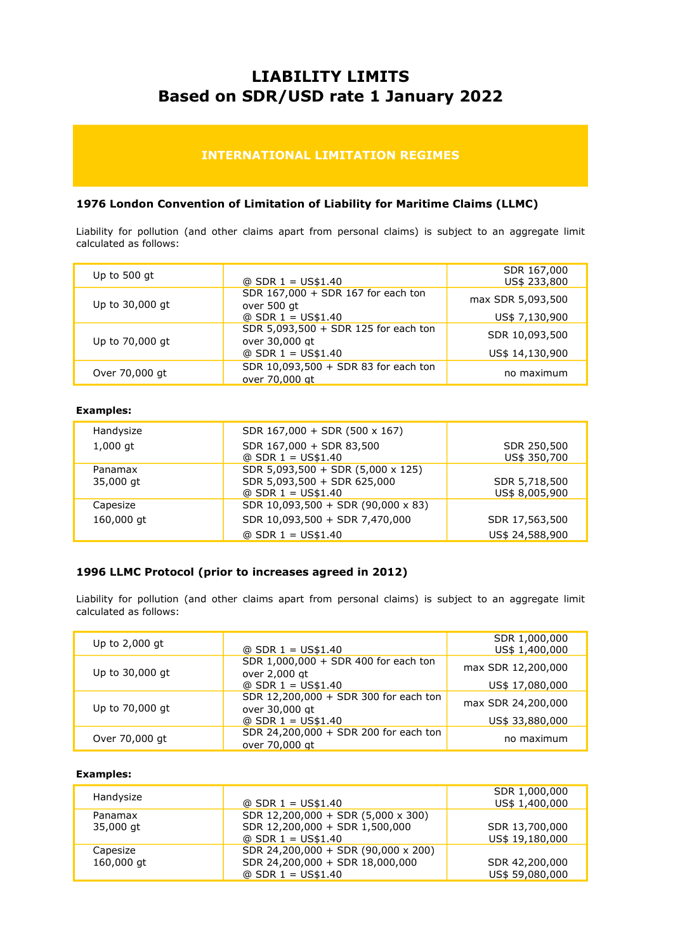# LIABILITY LIMITS Based on SDR/USD rate 1 January 2022

## INTERNATIONAL LIMITATION REGIMES

#### 1976 London Convention of Limitation of Liability for Maritime Claims (LLMC)

Liability for pollution (and other claims apart from personal claims) is subject to an aggregate limit calculated as follows:

| Up to $500$ gt  | $@$ SDR 1 = US\$1.40                                   | SDR 167,000<br>US\$ 233,800 |
|-----------------|--------------------------------------------------------|-----------------------------|
| Up to 30,000 gt | SDR 167,000 + SDR 167 for each ton<br>over 500 gt      | max SDR 5,093,500           |
|                 | $@$ SDR 1 = US\$1.40                                   | US\$ 7,130,900              |
| Up to 70,000 gt | SDR 5,093,500 + SDR 125 for each ton<br>over 30,000 gt | SDR 10,093,500              |
|                 | $@$ SDR 1 = US\$1.40                                   | US\$ 14,130,900             |
| Over 70,000 gt  | SDR 10,093,500 + SDR 83 for each ton<br>over 70,000 at | no maximum                  |

#### Examples:

| Handysize            | SDR $167,000 + SDR (500 \times 167)$                                                     |                                 |
|----------------------|------------------------------------------------------------------------------------------|---------------------------------|
| $1,000$ qt           | SDR 167,000 + SDR 83,500<br>$@$ SDR 1 = US\$1.40                                         | SDR 250,500<br>US\$ 350,700     |
| Panamax<br>35,000 gt | SDR 5,093,500 + SDR (5,000 x 125)<br>SDR 5,093,500 + SDR 625,000<br>$@$ SDR 1 = US\$1.40 | SDR 5,718,500<br>US\$ 8,005,900 |
| Capesize             | SDR 10,093,500 + SDR (90,000 x 83)                                                       |                                 |
| 160,000 gt           | SDR 10,093,500 + SDR 7,470,000                                                           | SDR 17,563,500                  |
|                      | $@$ SDR 1 = US\$1.40                                                                     | US\$ 24,588,900                 |

#### 1996 LLMC Protocol (prior to increases agreed in 2012)

Liability for pollution (and other claims apart from personal claims) is subject to an aggregate limit calculated as follows:

| Up to $2,000$ gt | $@$ SDR 1 = US\$1.40                                    | SDR 1,000,000<br>US\$ 1,400,000 |
|------------------|---------------------------------------------------------|---------------------------------|
| Up to 30,000 gt  | SDR 1,000,000 + SDR 400 for each ton<br>over 2,000 gt   | max SDR 12,200,000              |
|                  | $@$ SDR 1 = US\$1.40                                    | US\$ 17,080,000                 |
| Up to 70,000 gt  | SDR 12,200,000 + SDR 300 for each ton<br>over 30,000 gt | max SDR 24,200,000              |
|                  | $@$ SDR 1 = US\$1.40                                    | US\$ 33,880,000                 |
| Over 70,000 gt   | SDR 24,200,000 + SDR 200 for each ton<br>over 70,000 at | no maximum                      |

#### Examples:

| Handysize  |                                     | SDR 1,000,000   |
|------------|-------------------------------------|-----------------|
|            | $@$ SDR 1 = US\$1.40                | US\$ 1,400,000  |
| Panamax    | SDR 12,200,000 + SDR (5,000 x 300)  |                 |
| 35,000 gt  | SDR 12,200,000 + SDR 1,500,000      | SDR 13,700,000  |
|            | $@$ SDR 1 = US\$1.40                | US\$ 19,180,000 |
| Capesize   | SDR 24,200,000 + SDR (90,000 x 200) |                 |
| 160,000 gt | SDR 24,200,000 + SDR 18,000,000     | SDR 42,200,000  |
|            | $@$ SDR 1 = US\$1.40                | US\$ 59,080,000 |